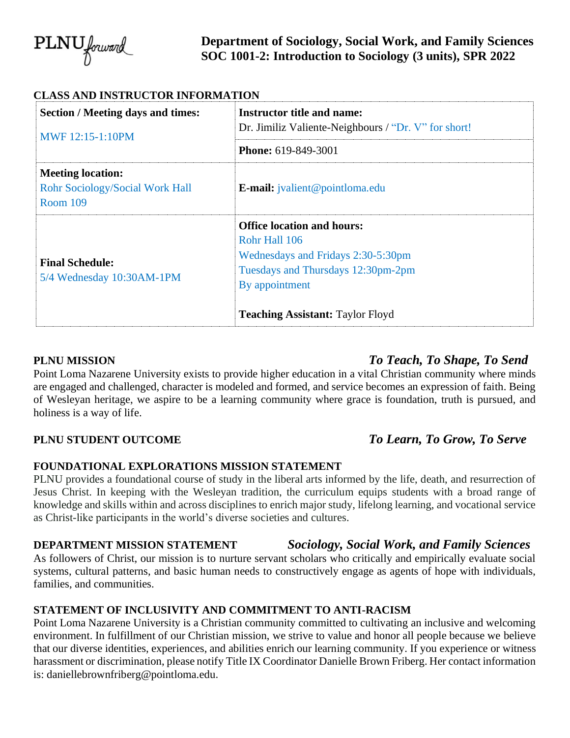

# **Department of Sociology, Social Work, and Family Sciences SOC 1001-2: Introduction to Sociology (3 units), SPR 2022**

| <b>Section / Meeting days and times:</b>                                              | <b>Instructor title and name:</b>                                                                                                                                                           |
|---------------------------------------------------------------------------------------|---------------------------------------------------------------------------------------------------------------------------------------------------------------------------------------------|
| MWF 12:15-1:10PM                                                                      | Dr. Jimiliz Valiente-Neighbours / "Dr. V" for short!                                                                                                                                        |
|                                                                                       | <b>Phone: 619-849-3001</b>                                                                                                                                                                  |
| <b>Meeting location:</b><br><b>Rohr Sociology/Social Work Hall</b><br><b>Room 109</b> | <b>E-mail:</b> jvalient@pointloma.edu                                                                                                                                                       |
| <b>Final Schedule:</b><br>5/4 Wednesday 10:30AM-1PM                                   | <b>Office location and hours:</b><br>Rohr Hall 106<br>Wednesdays and Fridays 2:30-5:30pm<br>Tuesdays and Thursdays 12:30pm-2pm<br>By appointment<br><b>Teaching Assistant: Taylor Floyd</b> |

# **PLNU MISSION** *To Teach, To Shape, To Send*

Point Loma Nazarene University exists to provide higher education in a vital Christian community where minds are engaged and challenged, character is modeled and formed, and service becomes an expression of faith. Being of Wesleyan heritage, we aspire to be a learning community where grace is foundation, truth is pursued, and holiness is a way of life.

# **PLNU STUDENT OUTCOME** *To Learn, To Grow, To Serve*

## **FOUNDATIONAL EXPLORATIONS MISSION STATEMENT**

PLNU provides a foundational course of study in the liberal arts informed by the life, death, and resurrection of Jesus Christ. In keeping with the Wesleyan tradition, the curriculum equips students with a broad range of knowledge and skills within and across disciplines to enrich major study, lifelong learning, and vocational service as Christ-like participants in the world's diverse societies and cultures.

# **DEPARTMENT MISSION STATEMENT** *Sociology, Social Work, and Family Sciences*

As followers of Christ, our mission is to nurture servant scholars who critically and empirically evaluate social systems, cultural patterns, and basic human needs to constructively engage as agents of hope with individuals, families, and communities.

## **STATEMENT OF INCLUSIVITY AND COMMITMENT TO ANTI-RACISM**

Point Loma Nazarene University is a Christian community committed to cultivating an inclusive and welcoming environment. In fulfillment of our Christian mission, we strive to value and honor all people because we believe that our diverse identities, experiences, and abilities enrich our learning community. If you experience or witness harassment or discrimination, please notify Title IX Coordinator Danielle Brown Friberg. Her contact information is: daniellebrownfriberg@pointloma.edu.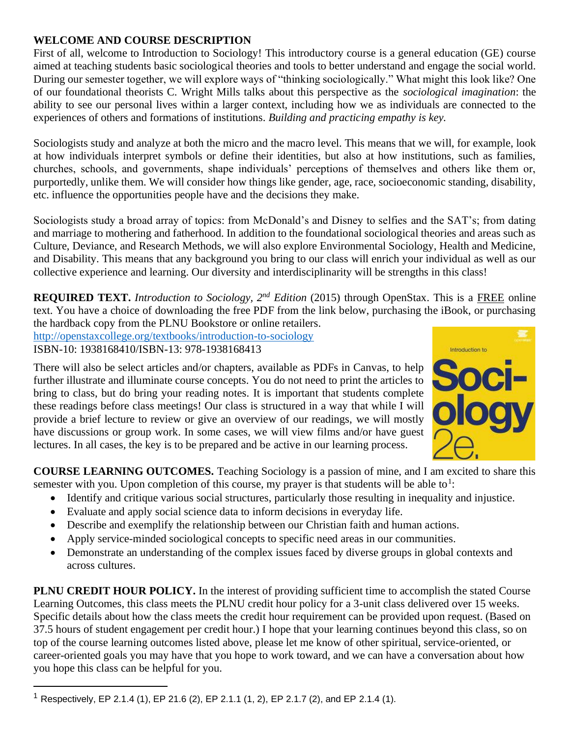## **WELCOME AND COURSE DESCRIPTION**

First of all, welcome to Introduction to Sociology! This introductory course is a general education (GE) course aimed at teaching students basic sociological theories and tools to better understand and engage the social world. During our semester together, we will explore ways of "thinking sociologically." What might this look like? One of our foundational theorists C. Wright Mills talks about this perspective as the *sociological imagination*: the ability to see our personal lives within a larger context, including how we as individuals are connected to the experiences of others and formations of institutions. *Building and practicing empathy is key.*

Sociologists study and analyze at both the micro and the macro level. This means that we will, for example, look at how individuals interpret symbols or define their identities, but also at how institutions, such as families, churches, schools, and governments, shape individuals' perceptions of themselves and others like them or, purportedly, unlike them. We will consider how things like gender, age, race, socioeconomic standing, disability, etc. influence the opportunities people have and the decisions they make.

Sociologists study a broad array of topics: from McDonald's and Disney to selfies and the SAT's; from dating and marriage to mothering and fatherhood. In addition to the foundational sociological theories and areas such as Culture, Deviance, and Research Methods, we will also explore Environmental Sociology, Health and Medicine, and Disability. This means that any background you bring to our class will enrich your individual as well as our collective experience and learning. Our diversity and interdisciplinarity will be strengths in this class!

**REQUIRED TEXT.** *Introduction to Sociology, 2nd Edition* (2015) through OpenStax. This is a FREE online text. You have a choice of downloading the free PDF from the link below, purchasing the iBook, or purchasing the hardback copy from the PLNU Bookstore or online retailers.

<http://openstaxcollege.org/textbooks/introduction-to-sociology> ISBN-10: 1938168410/ISBN-13: 978-1938168413

There will also be select articles and/or chapters, available as PDFs in Canvas, to help further illustrate and illuminate course concepts. You do not need to print the articles to bring to class, but do bring your reading notes. It is important that students complete these readings before class meetings! Our class is structured in a way that while I will provide a brief lecture to review or give an overview of our readings, we will mostly have discussions or group work. In some cases, we will view films and/or have guest lectures. In all cases, the key is to be prepared and be active in our learning process.



**COURSE LEARNING OUTCOMES.** Teaching Sociology is a passion of mine, and I am excited to share this semester with you. Upon completion of this course, my prayer is that students will be able to<sup>1</sup>:

- Identify and critique various social structures, particularly those resulting in inequality and injustice.
- Evaluate and apply social science data to inform decisions in everyday life.
- Describe and exemplify the relationship between our Christian faith and human actions.
- Apply service-minded sociological concepts to specific need areas in our communities.
- Demonstrate an understanding of the complex issues faced by diverse groups in global contexts and across cultures.

**PLNU CREDIT HOUR POLICY.** In the interest of providing sufficient time to accomplish the stated Course Learning Outcomes, this class meets the PLNU credit hour policy for a 3-unit class delivered over 15 weeks. Specific details about how the class meets the credit hour requirement can be provided upon request. (Based on 37.5 hours of student engagement per credit hour.) I hope that your learning continues beyond this class, so on top of the course learning outcomes listed above, please let me know of other spiritual, service-oriented, or career-oriented goals you may have that you hope to work toward, and we can have a conversation about how you hope this class can be helpful for you.

<sup>&</sup>lt;sup>1</sup> Respectively, EP 2.1.4 (1), EP 21.6 (2), EP 2.1.1 (1, 2), EP 2.1.7 (2), and EP 2.1.4 (1).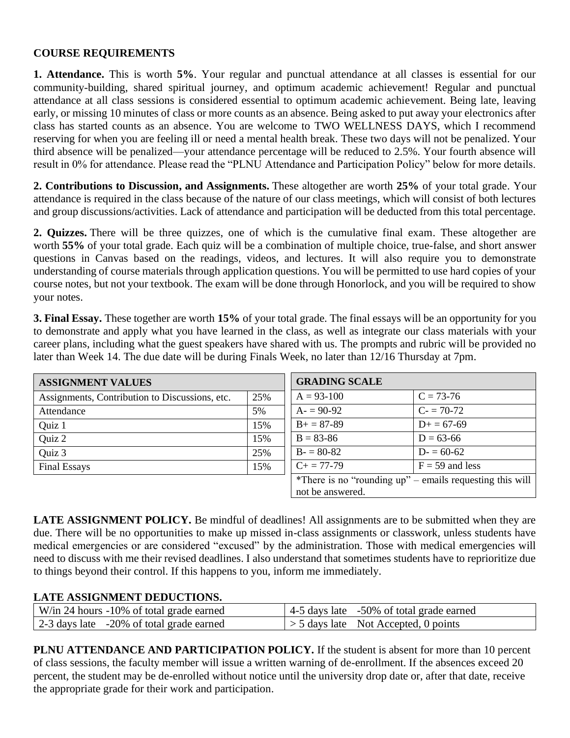### **COURSE REQUIREMENTS**

**1. Attendance.** This is worth **5%**. Your regular and punctual attendance at all classes is essential for our community-building, shared spiritual journey, and optimum academic achievement! Regular and punctual attendance at all class sessions is considered essential to optimum academic achievement. Being late, leaving early, or missing 10 minutes of class or more counts as an absence. Being asked to put away your electronics after class has started counts as an absence. You are welcome to TWO WELLNESS DAYS, which I recommend reserving for when you are feeling ill or need a mental health break. These two days will not be penalized. Your third absence will be penalized—your attendance percentage will be reduced to 2.5%. Your fourth absence will result in 0% for attendance. Please read the "PLNU Attendance and Participation Policy" below for more details.

**2. Contributions to Discussion, and Assignments.** These altogether are worth **25%** of your total grade. Your attendance is required in the class because of the nature of our class meetings, which will consist of both lectures and group discussions/activities. Lack of attendance and participation will be deducted from this total percentage.

**2. Quizzes.** There will be three quizzes, one of which is the cumulative final exam. These altogether are worth **55%** of your total grade. Each quiz will be a combination of multiple choice, true-false, and short answer questions in Canvas based on the readings, videos, and lectures. It will also require you to demonstrate understanding of course materials through application questions. You will be permitted to use hard copies of your course notes, but not your textbook. The exam will be done through Honorlock, and you will be required to show your notes.

**3. Final Essay.** These together are worth **15%** of your total grade. The final essays will be an opportunity for you to demonstrate and apply what you have learned in the class, as well as integrate our class materials with your career plans, including what the guest speakers have shared with us. The prompts and rubric will be provided no later than Week 14. The due date will be during Finals Week, no later than 12/16 Thursday at 7pm.

| <b>ASSIGNMENT VALUES</b>                       |     | <b>GRADING SCALE</b> |                                                          |
|------------------------------------------------|-----|----------------------|----------------------------------------------------------|
| Assignments, Contribution to Discussions, etc. | 25% | $A = 93 - 100$       | $C = 73-76$                                              |
| Attendance                                     | 5%  | $A = 90-92$          | $C = 70-72$                                              |
| Quiz 1                                         | 15% | $B+=87-89$           | $D+=67-69$                                               |
| Quiz 2                                         | 15% | $B = 83 - 86$        | $D = 63-66$                                              |
| Quiz 3                                         | 25% | $B = 80-82$          | $D = 60-62$                                              |
| <b>Final Essays</b>                            | 15% | $C_{+} = 77-79$      | $F = 59$ and less                                        |
|                                                |     |                      | *There is no "rounding up" – emails requesting this will |
|                                                |     | not be answered.     |                                                          |

**LATE ASSIGNMENT POLICY.** Be mindful of deadlines! All assignments are to be submitted when they are due. There will be no opportunities to make up missed in-class assignments or classwork, unless students have medical emergencies or are considered "excused" by the administration. Those with medical emergencies will need to discuss with me their revised deadlines. I also understand that sometimes students have to reprioritize due to things beyond their control. If this happens to you, inform me immediately.

## **LATE ASSIGNMENT DEDUCTIONS.**

| W/in 24 hours -10% of total grade earned | $\vert$ 4-5 days late -50% of total grade earned |
|------------------------------------------|--------------------------------------------------|
| 2-3 days late -20% of total grade earned | $\vert$ > 5 days late Not Accepted, 0 points     |

**PLNU ATTENDANCE AND PARTICIPATION POLICY.** If the student is absent for more than 10 percent of class sessions, the faculty member will issue a written warning of de-enrollment. If the absences exceed 20 percent, the student may be de-enrolled without notice until the university drop date or, after that date, receive the appropriate grade for their work and participation.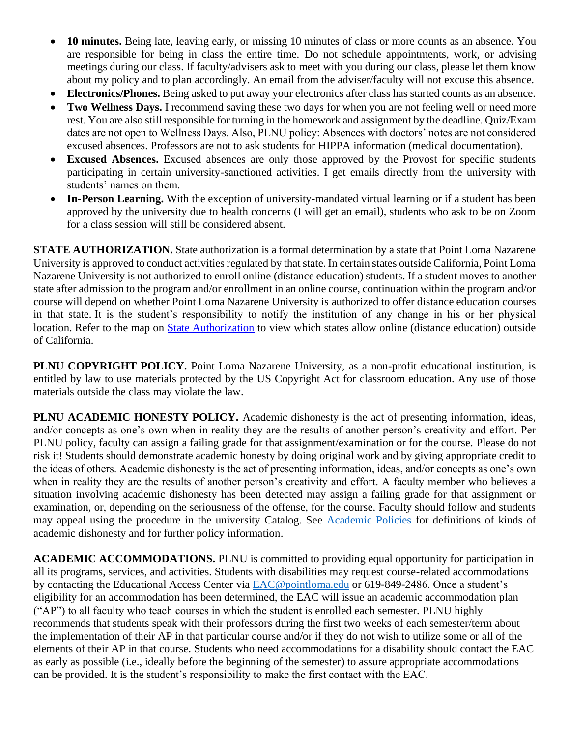- **10 minutes.** Being late, leaving early, or missing 10 minutes of class or more counts as an absence. You are responsible for being in class the entire time. Do not schedule appointments, work, or advising meetings during our class. If faculty/advisers ask to meet with you during our class, please let them know about my policy and to plan accordingly. An email from the adviser/faculty will not excuse this absence.
- **Electronics/Phones.** Being asked to put away your electronics after class has started counts as an absence.
- **Two Wellness Days.** I recommend saving these two days for when you are not feeling well or need more rest. You are also still responsible for turning in the homework and assignment by the deadline. Quiz/Exam dates are not open to Wellness Days. Also, PLNU policy: Absences with doctors' notes are not considered excused absences. Professors are not to ask students for HIPPA information (medical documentation).
- **Excused Absences.** Excused absences are only those approved by the Provost for specific students participating in certain university-sanctioned activities. I get emails directly from the university with students' names on them.
- **In-Person Learning.** With the exception of university-mandated virtual learning or if a student has been approved by the university due to health concerns (I will get an email), students who ask to be on Zoom for a class session will still be considered absent.

**STATE AUTHORIZATION.** State authorization is a formal determination by a state that Point Loma Nazarene University is approved to conduct activities regulated by that state. In certain states outside California, Point Loma Nazarene University is not authorized to enroll online (distance education) students. If a student moves to another state after admission to the program and/or enrollment in an online course, continuation within the program and/or course will depend on whether Point Loma Nazarene University is authorized to offer distance education courses in that state. It is the student's responsibility to notify the institution of any change in his or her physical location. Refer to the map on [State Authorization](https://www.pointloma.edu/offices/office-institutional-effectiveness-research/disclosures) to view which states allow online (distance education) outside of California.

**PLNU COPYRIGHT POLICY.** Point Loma Nazarene University, as a non-profit educational institution, is entitled by law to use materials protected by the US Copyright Act for classroom education. Any use of those materials outside the class may violate the law.

**PLNU ACADEMIC HONESTY POLICY.** Academic dishonesty is the act of presenting information, ideas, and/or concepts as one's own when in reality they are the results of another person's creativity and effort. Per PLNU policy, faculty can assign a failing grade for that assignment/examination or for the course. Please do not risk it! Students should demonstrate academic honesty by doing original work and by giving appropriate credit to the ideas of others. Academic dishonesty is the act of presenting information, ideas, and/or concepts as one's own when in reality they are the results of another person's creativity and effort. A faculty member who believes a situation involving academic dishonesty has been detected may assign a failing grade for that assignment or examination, or, depending on the seriousness of the offense, for the course. Faculty should follow and students may appeal using the procedure in the university Catalog. See [Academic Policies](https://catalog.pointloma.edu/content.php?catoid=52&navoid=2919#Academic_Honesty) for definitions of kinds of academic dishonesty and for further policy information.

**ACADEMIC ACCOMMODATIONS.** PLNU is committed to providing equal opportunity for participation in all its programs, services, and activities. Students with disabilities may request course-related accommodations by contacting the Educational Access Center via [EAC@pointloma.edu](mailto:EAC@pointloma.edu) or 619-849-2486. Once a student's eligibility for an accommodation has been determined, the EAC will issue an academic accommodation plan ("AP") to all faculty who teach courses in which the student is enrolled each semester. PLNU highly recommends that students speak with their professors during the first two weeks of each semester/term about the implementation of their AP in that particular course and/or if they do not wish to utilize some or all of the elements of their AP in that course. Students who need accommodations for a disability should contact the EAC as early as possible (i.e., ideally before the beginning of the semester) to assure appropriate accommodations can be provided. It is the student's responsibility to make the first contact with the EAC.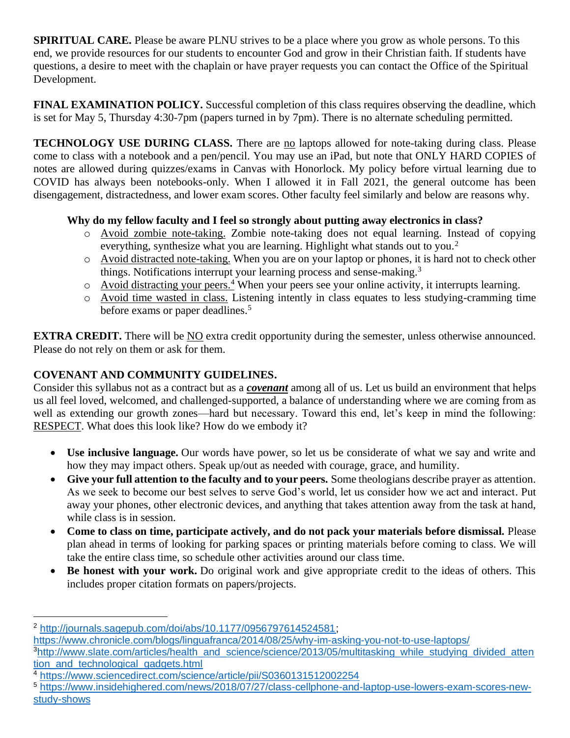**SPIRITUAL CARE.** Please be aware PLNU strives to be a place where you grow as whole persons. To this end, we provide resources for our students to encounter God and grow in their Christian faith. If students have questions, a desire to meet with the chaplain or have prayer requests you can contact the Office of the Spiritual Development.

**FINAL EXAMINATION POLICY.** Successful completion of this class requires observing the deadline, which is set for May 5, Thursday 4:30-7pm (papers turned in by 7pm). There is no alternate scheduling permitted.

**TECHNOLOGY USE DURING CLASS.** There are no laptops allowed for note-taking during class. Please come to class with a notebook and a pen/pencil. You may use an iPad, but note that ONLY HARD COPIES of notes are allowed during quizzes/exams in Canvas with Honorlock. My policy before virtual learning due to COVID has always been notebooks-only. When I allowed it in Fall 2021, the general outcome has been disengagement, distractedness, and lower exam scores. Other faculty feel similarly and below are reasons why.

# **Why do my fellow faculty and I feel so strongly about putting away electronics in class?**

- o Avoid zombie note-taking. Zombie note-taking does not equal learning. Instead of copying everything, synthesize what you are learning. Highlight what stands out to you.<sup>2</sup>
- o Avoid distracted note-taking. When you are on your laptop or phones, it is hard not to check other things. Notifications interrupt your learning process and sense-making.<sup>3</sup>
- o Avoid distracting your peers.<sup>4</sup> When your peers see your online activity, it interrupts learning.
- o Avoid time wasted in class. Listening intently in class equates to less studying-cramming time before exams or paper deadlines.<sup>5</sup>

**EXTRA CREDIT.** There will be NO extra credit opportunity during the semester, unless otherwise announced. Please do not rely on them or ask for them.

# **COVENANT AND COMMUNITY GUIDELINES.**

Consider this syllabus not as a contract but as a *covenant* among all of us. Let us build an environment that helps us all feel loved, welcomed, and challenged-supported, a balance of understanding where we are coming from as well as extending our growth zones—hard but necessary. Toward this end, let's keep in mind the following: RESPECT. What does this look like? How do we embody it?

- **Use inclusive language.** Our words have power, so let us be considerate of what we say and write and how they may impact others. Speak up/out as needed with courage, grace, and humility.
- **Give your full attention to the faculty and to your peers.** Some theologians describe prayer as attention. As we seek to become our best selves to serve God's world, let us consider how we act and interact. Put away your phones, other electronic devices, and anything that takes attention away from the task at hand, while class is in session.
- **Come to class on time, participate actively, and do not pack your materials before dismissal.** Please plan ahead in terms of looking for parking spaces or printing materials before coming to class. We will take the entire class time, so schedule other activities around our class time.
- **Be honest with your work.** Do original work and give appropriate credit to the ideas of others. This includes proper citation formats on papers/projects.

<sup>2</sup> [http://journals.sagepub.com/doi/abs/10.1177/0956797614524581;](http://journals.sagepub.com/doi/abs/10.1177/0956797614524581)

<https://www.chronicle.com/blogs/linguafranca/2014/08/25/why-im-asking-you-not-to-use-laptops/>

<sup>&</sup>lt;sup>3</sup>[http://www.slate.com/articles/health\\_and\\_science/science/2013/05/multitasking\\_while\\_studying\\_divided\\_atten](http://www.slate.com/articles/health_and_science/science/2013/05/multitasking_while_studying_divided_attention_and_technological_gadgets.html) tion and technological gadgets.html

<sup>4</sup> <https://www.sciencedirect.com/science/article/pii/S0360131512002254>

<sup>5</sup> [https://www.insidehighered.com/news/2018/07/27/class-cellphone-and-laptop-use-lowers-exam-scores-new](https://www.insidehighered.com/news/2018/07/27/class-cellphone-and-laptop-use-lowers-exam-scores-new-study-shows)[study-shows](https://www.insidehighered.com/news/2018/07/27/class-cellphone-and-laptop-use-lowers-exam-scores-new-study-shows)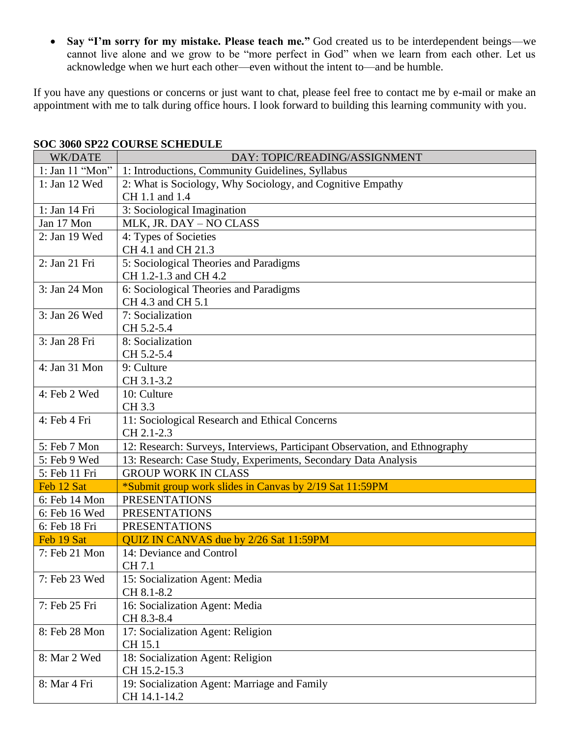• **Say "I'm sorry for my mistake. Please teach me."** God created us to be interdependent beings—we cannot live alone and we grow to be "more perfect in God" when we learn from each other. Let us acknowledge when we hurt each other—even without the intent to—and be humble.

If you have any questions or concerns or just want to chat, please feel free to contact me by e-mail or make an appointment with me to talk during office hours. I look forward to building this learning community with you.

| WK/DATE         | DAY: TOPIC/READING/ASSIGNMENT                                               |
|-----------------|-----------------------------------------------------------------------------|
| 1: Jan 11 "Mon" | 1: Introductions, Community Guidelines, Syllabus                            |
| 1: Jan 12 Wed   | 2: What is Sociology, Why Sociology, and Cognitive Empathy                  |
|                 | CH 1.1 and 1.4                                                              |
| 1: Jan 14 Fri   | 3: Sociological Imagination                                                 |
| Jan 17 Mon      | MLK, JR. DAY - NO CLASS                                                     |
| 2: Jan 19 Wed   | 4: Types of Societies                                                       |
|                 | CH 4.1 and CH 21.3                                                          |
| 2: Jan 21 Fri   | 5: Sociological Theories and Paradigms                                      |
|                 | CH 1.2-1.3 and CH 4.2                                                       |
| 3: Jan 24 Mon   | 6: Sociological Theories and Paradigms                                      |
|                 | CH 4.3 and CH 5.1                                                           |
| 3: Jan 26 Wed   | 7: Socialization                                                            |
|                 | CH 5.2-5.4                                                                  |
| 3: Jan 28 Fri   | 8: Socialization                                                            |
|                 | CH 5.2-5.4                                                                  |
| 4: Jan 31 Mon   | 9: Culture                                                                  |
|                 | CH 3.1-3.2                                                                  |
| 4: Feb 2 Wed    | 10: Culture                                                                 |
|                 | CH 3.3                                                                      |
| 4: Feb 4 Fri    | 11: Sociological Research and Ethical Concerns                              |
|                 | CH 2.1-2.3                                                                  |
| 5: Feb 7 Mon    | 12: Research: Surveys, Interviews, Participant Observation, and Ethnography |
| 5: Feb 9 Wed    | 13: Research: Case Study, Experiments, Secondary Data Analysis              |
| 5: Feb 11 Fri   | <b>GROUP WORK IN CLASS</b>                                                  |
| Feb 12 Sat      | *Submit group work slides in Canvas by 2/19 Sat 11:59PM                     |
| 6: Feb 14 Mon   | <b>PRESENTATIONS</b>                                                        |
| 6: Feb 16 Wed   | <b>PRESENTATIONS</b>                                                        |
| 6: Feb 18 Fri   | <b>PRESENTATIONS</b>                                                        |
| Feb 19 Sat      | QUIZ IN CANVAS due by 2/26 Sat 11:59PM                                      |
| 7: Feb 21 Mon   | 14: Deviance and Control                                                    |
|                 | CH 7.1                                                                      |
| 7: Feb 23 Wed   | 15: Socialization Agent: Media                                              |
|                 | CH 8.1-8.2                                                                  |
| 7: Feb 25 Fri   | 16: Socialization Agent: Media                                              |
|                 | CH 8.3-8.4                                                                  |
| 8: Feb 28 Mon   | 17: Socialization Agent: Religion                                           |
|                 | CH 15.1                                                                     |
| 8: Mar 2 Wed    | 18: Socialization Agent: Religion<br>CH 15.2-15.3                           |
| 8: Mar 4 Fri    | 19: Socialization Agent: Marriage and Family                                |
|                 | CH 14.1-14.2                                                                |
|                 |                                                                             |

### **SOC 3060 SP22 COURSE SCHEDULE**